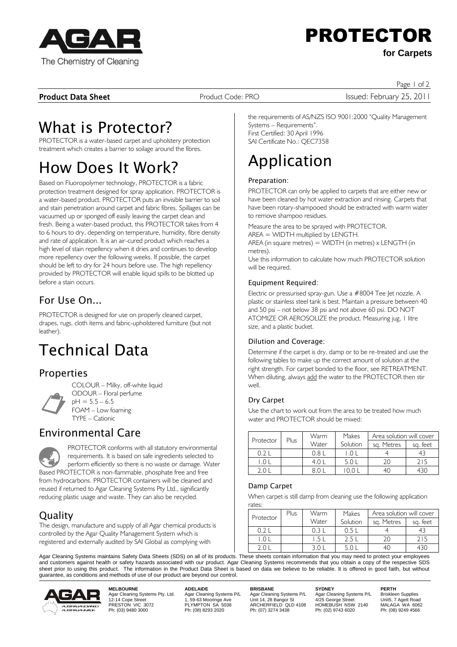

# PROTECTOR

**for Carpets**

**Product Data Sheet** Product Code: PRO **Internative Access Product Code: PRO** Issued: February 25, 2011

Page 1 of 2

## What is Protector?

PROTECTOR is a water-based carpet and upholstery protection treatment which creates a barrier to soilage around the fibres.

## How Does It Work?

Based on Fluoropolymer technology, PROTECTOR is a fabric protection treatment designed for spray application. PROTECTOR is a water-based product. PROTECTOR puts an invisible barrier to soil and stain penetration around carpet and fabric fibres. Spillages can be vacuumed up or sponged off easily leaving the carpet clean and fresh. Being a water-based product, this PROTECTOR takes from 4 to 6 hours to dry, depending on temperature, humidity, fibre density and rate of application. It is an air-cured product which reaches a high level of stain repellency when it dries and continues to develop more repellency over the following weeks. If possible, the carpet should be left to dry for 24 hours before use. The high repellency provided by PROTECTOR will enable liquid spills to be blotted up before a stain occurs.

### $For Use On$

PROTECTOR is designed for use on properly cleaned carpet, drapes, rugs, cloth items and fabric-upholstered furniture (but not leather).

## Technical Data

### Properties



COLOUR – Milky, off-white liquid ODOUR – Floral perfume  $pH = 5.5 - 6.5$ FOAM – Low foaming TYPE – Cationic

### Environmental Care

E PROTECTOR conforms with all statutory environmental requirements. It is based on safe ingredients selected to perform efficiently so there is no waste or damage. Water Based PROTECTOR is non-flammable, phosphate free and free from hydrocarbons. PROTECTOR containers will be cleaned and reused if returned to Agar Cleaning Systems Pty Ltd., significantly reducing plastic usage and waste. They can also be recycled.

### Quality

The design, manufacture and supply of all Agar chemical products is controlled by the Agar Quality Management System which is registered and externally audited by SAI Global as complying with

the requirements of AS/NZS ISO 9001:2000 "Quality Management Systems – Requirements". First Certified: 30 April 1996 SAI Certificate No.: QEC7358

## Application

#### Preparation:

PROTECTOR can only be applied to carpets that are either new or have been cleaned by hot water extraction and rinsing. Carpets that have been rotary-shampooed should be extracted with warm water to remove shampoo residues.

Measure the area to be sprayed with PROTECTOR.

AREA = WIDTH multiplied by LENGTH.

AREA (in square metres) = WIDTH (in metres) x LENGTH (in metres).

Use this information to calculate how much PROTECTOR solution will be required.

#### Equipment Required:

Electric or pressurised spray-gun. Use a #8004 Tee Jet nozzle. A plastic or stainless steel tank is best. Maintain a pressure between 40 and 50 psi – not below 38 psi and not above 60 psi. DO NOT ATOMIZE OR AEROSOLIZE the product. Measuring jug, 1 litre size, and a plastic bucket.

#### Dilution and Coverage:

Determine if the carpet is dry, damp or to be re-treated and use the following tables to make up the correct amount of solution at the right strength. For carpet bonded to the floor, see RETREATMENT. When diluting, always add the water to the PROTECTOR then stir well.

#### Dry Carpet

Use the chart to work out from the area to be treated how much water and PROTECTOR should be mixed:

| Protector | Plus | Warm  | Area solution will cover<br>Makes |            |          |
|-----------|------|-------|-----------------------------------|------------|----------|
|           |      | Water | Solution                          | sa. Metres | sa. feet |
|           |      | (181) |                                   |            |          |
|           |      | 4 ( ) | 5.0L                              |            | 215      |
|           |      |       |                                   |            |          |

#### Damp Carpet

When carpet is still damp from cleaning use the following application rates:

|  |           | Plus | Warm  | Makes    | Area solution will cover |          |
|--|-----------|------|-------|----------|--------------------------|----------|
|  | Protector |      | Water | Solution | sa. Metres               | sa. feet |
|  |           |      |       |          |                          |          |
|  |           |      |       |          |                          | 215      |
|  |           |      |       |          |                          |          |

Agar Cleaning Systems maintains Safety Data Sheets (SDS) on all of its products. These sheets contain information that you may need to protect your employees and customers against health or safety hazards associated with our product. Agar Cleaning Systems recommends that you obtain a copy of the respective SDS sheet prior to using this product. The information in the Product Data Sheet is based on data we believe to be reliable. It is offered in good faith, but without guarantee, as conditions and methods of use of our product are beyond our control.



**MELBOURNE ADELAIDE BRISBANE SYDNEY PERTH** Agar Cleaning Systems Pty. Ltd. Agar Cleaning Systems P/L Agar Cleaning Systems P/L Agar Cleaning Systems P/L Briskleen Supplies 12-14 Cope Street 1, 59-63 Mooringe Ave Unit 14, 28 Bangor St 4/25 George Street Unit5, 7 Agett Road Agar Cleaning Systems Proposition of Agar Cleaning Systems Proposition of Agar Cleaning Systems Proposition 12-14 Cope Street 1, 59-63 Mooringe Ave Unit 14, 28 Bangor St<br>12-14 Cope Street 1, 59-63 Mooringe Ave Unit 14, 28

Ph: (07) 3274 3438